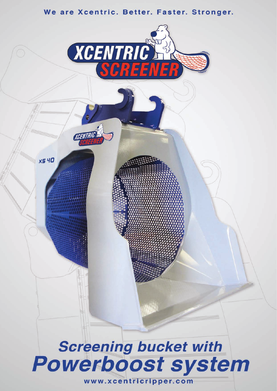#### We are Xcentric. Better. Faster. Stronger.

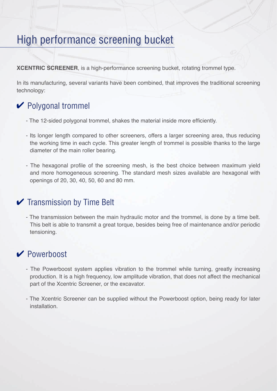## High performance screening bucket

**XCENTRIC SCREENER**, is a high-performance screening bucket, rotating trommel type.

In its manufacturing, several variants have been combined, that improves the traditional screening technology:

## **►** Polygonal trommel

- The 12-sided polygonal trommel, shakes the material inside more efficiently.
- Its longer length compared to other screeners, offers a larger screening area, thus reducing the working time in each cycle. This greater length of trommel is possible thanks to the large diameter of the main roller bearing.
- The hexagonal profile of the screening mesh, is the best choice between maximum yield and more homogeneous screening. The standard mesh sizes available are hexagonal with openings of 20, 30, 40, 50, 60 and 80 mm.

#### $\triangleright$  Transmission by Time Belt

- The transmission between the main hydraulic motor and the trommel, is done by a time belt. This belt is able to transmit a great torque, besides being free of maintenance and/or periodic tensioning.

### **∠** Powerboost

- The Powerboost system applies vibration to the trommel while turning, greatly increasing production. It is a high frequency, low amplitude vibration, that does not affect the mechanical part of the Xcentric Screener, or the excavator.
- The Xcentric Screener can be supplied without the Powerboost option, being ready for later installation.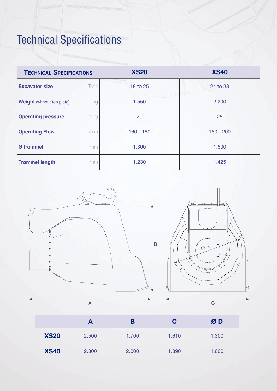# Technical Specifications

| <b>TECHNICAL SPECIFICATIONS</b>   |            | <b>XS20</b> | <b>XS40</b> |  |
|-----------------------------------|------------|-------------|-------------|--|
| <b>Excavator size</b>             | Tons       | 18 to 25    | 24 to 38    |  |
| <b>Weight</b> (without top plate) | kg         | 1.550       | 2.200       |  |
| <b>Operating pressure</b>         | <b>MPa</b> | 20          | 25          |  |
| <b>Operating Flow</b>             | $L/m$ in   | $160 - 180$ | $180 - 200$ |  |
| Ø trommel                         | mm         | 1.300       | 1.600       |  |
| <b>Trommel length</b>             | mm         | 1.230       | 1.425       |  |



|             | A     | В     | C     | ØD    |
|-------------|-------|-------|-------|-------|
| <b>XS20</b> | 2.500 | 1.700 | 1.610 | 1.300 |
| <b>XS40</b> | 2.800 | 2.000 | 1.890 | 1.600 |